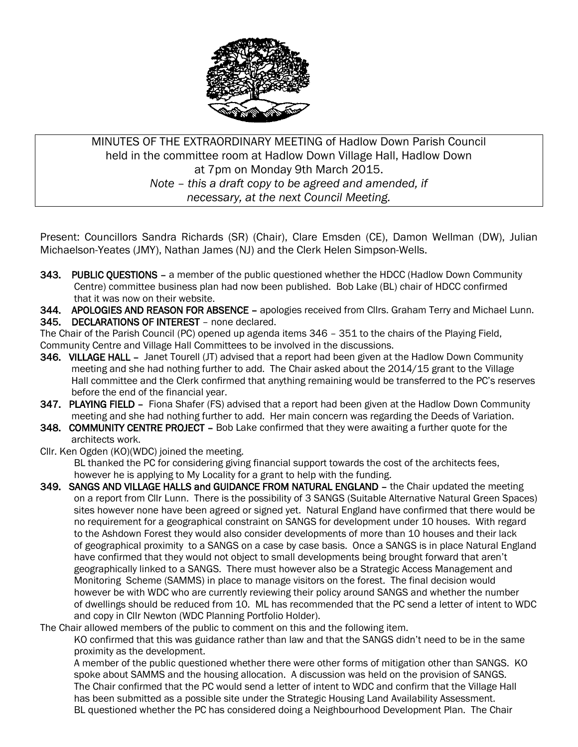

MINUTES OF THE EXTRAORDINARY MEETING of Hadlow Down Parish Council held in the committee room at Hadlow Down Village Hall, Hadlow Down at 7pm on Monday 9th March 2015. *Note – this a draft copy to be agreed and amended, if necessary, at the next Council Meeting.*

Present: Councillors Sandra Richards (SR) (Chair), Clare Emsden (CE), Damon Wellman (DW), Julian Michaelson-Yeates (JMY), Nathan James (NJ) and the Clerk Helen Simpson-Wells.

343. PUBLIC QUESTIONS - a member of the public questioned whether the HDCC (Hadlow Down Community Centre) committee business plan had now been published. Bob Lake (BL) chair of HDCC confirmed that it was now on their website.

344. APOLOGIES AND REASON FOR ABSENCE – apologies received from Cllrs. Graham Terry and Michael Lunn.

345. DECLARATIONS OF INTEREST – none declared.

The Chair of the Parish Council (PC) opened up agenda items 346 – 351 to the chairs of the Playing Field, Community Centre and Village Hall Committees to be involved in the discussions.

- 346. VILLAGE HALL Janet Tourell (JT) advised that a report had been given at the Hadlow Down Community meeting and she had nothing further to add. The Chair asked about the 2014/15 grant to the Village Hall committee and the Clerk confirmed that anything remaining would be transferred to the PC's reserves before the end of the financial year.
- 347. PLAYING FIELD Fiona Shafer (FS) advised that a report had been given at the Hadlow Down Community meeting and she had nothing further to add. Her main concern was regarding the Deeds of Variation.
- 348. COMMUNITY CENTRE PROJECT Bob Lake confirmed that they were awaiting a further quote for the architects work.
- Cllr. Ken Ogden (KO)(WDC) joined the meeting.

 BL thanked the PC for considering giving financial support towards the cost of the architects fees, however he is applying to My Locality for a grant to help with the funding.

349. SANGS AND VILLAGE HALLS and GUIDANCE FROM NATURAL ENGLAND - the Chair updated the meeting on a report from Cllr Lunn. There is the possibility of 3 SANGS (Suitable Alternative Natural Green Spaces) sites however none have been agreed or signed yet. Natural England have confirmed that there would be no requirement for a geographical constraint on SANGS for development under 10 houses. With regard to the Ashdown Forest they would also consider developments of more than 10 houses and their lack of geographical proximity to a SANGS on a case by case basis. Once a SANGS is in place Natural England have confirmed that they would not object to small developments being brought forward that aren't geographically linked to a SANGS. There must however also be a Strategic Access Management and Monitoring Scheme (SAMMS) in place to manage visitors on the forest. The final decision would however be with WDC who are currently reviewing their policy around SANGS and whether the number of dwellings should be reduced from 10. ML has recommended that the PC send a letter of intent to WDC and copy in Cllr Newton (WDC Planning Portfolio Holder).

The Chair allowed members of the public to comment on this and the following item.

 KO confirmed that this was guidance rather than law and that the SANGS didn't need to be in the same proximity as the development.

 A member of the public questioned whether there were other forms of mitigation other than SANGS. KO spoke about SAMMS and the housing allocation. A discussion was held on the provision of SANGS. The Chair confirmed that the PC would send a letter of intent to WDC and confirm that the Village Hall has been submitted as a possible site under the Strategic Housing Land Availability Assessment. BL questioned whether the PC has considered doing a Neighbourhood Development Plan. The Chair